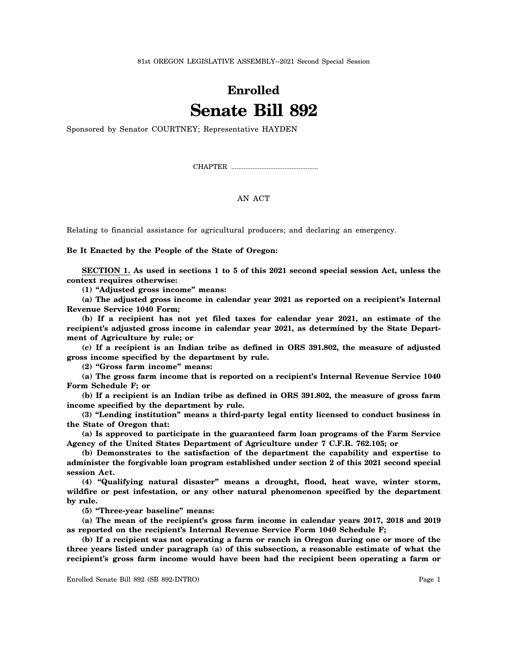81st OREGON LEGISLATIVE ASSEMBLY--2021 Second Special Session

## **Enrolled Senate Bill 892**

Sponsored by Senator COURTNEY; Representative HAYDEN

CHAPTER .................................................

## AN ACT

Relating to financial assistance for agricultural producers; and declaring an emergency.

**Be It Enacted by the People of the State of Oregon:**

**SECTION 1. As used in sections 1 to 5 of this 2021 second special session Act, unless the context requires otherwise:**

**(1) "Adjusted gross income" means:**

**(a) The adjusted gross income in calendar year 2021 as reported on a recipient's Internal Revenue Service 1040 Form;**

**(b) If a recipient has not yet filed taxes for calendar year 2021, an estimate of the recipient's adjusted gross income in calendar year 2021, as determined by the State Department of Agriculture by rule; or**

**(c) If a recipient is an Indian tribe as defined in ORS 391.802, the measure of adjusted gross income specified by the department by rule.**

**(2) "Gross farm income" means:**

**(a) The gross farm income that is reported on a recipient's Internal Revenue Service 1040 Form Schedule F; or**

**(b) If a recipient is an Indian tribe as defined in ORS 391.802, the measure of gross farm income specified by the department by rule.**

**(3) "Lending institution" means a third-party legal entity licensed to conduct business in the State of Oregon that:**

**(a) Is approved to participate in the guaranteed farm loan programs of the Farm Service Agency of the United States Department of Agriculture under 7 C.F.R. 762.105; or**

**(b) Demonstrates to the satisfaction of the department the capability and expertise to administer the forgivable loan program established under section 2 of this 2021 second special session Act.**

**(4) "Qualifying natural disaster" means a drought, flood, heat wave, winter storm, wildfire or pest infestation, or any other natural phenomenon specified by the department by rule.**

**(5) "Three-year baseline" means:**

**(a) The mean of the recipient's gross farm income in calendar years 2017, 2018 and 2019 as reported on the recipient's Internal Revenue Service Form 1040 Schedule F;**

**(b) If a recipient was not operating a farm or ranch in Oregon during one or more of the three years listed under paragraph (a) of this subsection, a reasonable estimate of what the recipient's gross farm income would have been had the recipient been operating a farm or**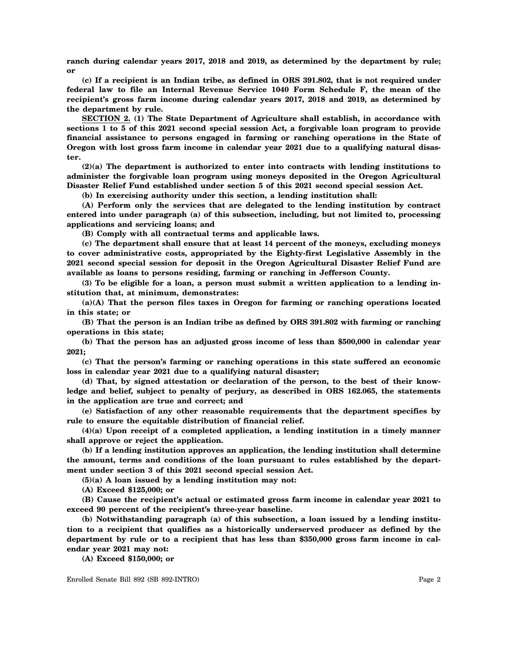**ranch during calendar years 2017, 2018 and 2019, as determined by the department by rule; or**

**(c) If a recipient is an Indian tribe, as defined in ORS 391.802, that is not required under federal law to file an Internal Revenue Service 1040 Form Schedule F, the mean of the recipient's gross farm income during calendar years 2017, 2018 and 2019, as determined by the department by rule.**

**SECTION 2. (1) The State Department of Agriculture shall establish, in accordance with sections 1 to 5 of this 2021 second special session Act, a forgivable loan program to provide financial assistance to persons engaged in farming or ranching operations in the State of Oregon with lost gross farm income in calendar year 2021 due to a qualifying natural disaster.**

**(2)(a) The department is authorized to enter into contracts with lending institutions to administer the forgivable loan program using moneys deposited in the Oregon Agricultural Disaster Relief Fund established under section 5 of this 2021 second special session Act.**

**(b) In exercising authority under this section, a lending institution shall:**

**(A) Perform only the services that are delegated to the lending institution by contract entered into under paragraph (a) of this subsection, including, but not limited to, processing applications and servicing loans; and**

**(B) Comply with all contractual terms and applicable laws.**

**(c) The department shall ensure that at least 14 percent of the moneys, excluding moneys to cover administrative costs, appropriated by the Eighty-first Legislative Assembly in the 2021 second special session for deposit in the Oregon Agricultural Disaster Relief Fund are available as loans to persons residing, farming or ranching in Jefferson County.**

**(3) To be eligible for a loan, a person must submit a written application to a lending institution that, at minimum, demonstrates:**

**(a)(A) That the person files taxes in Oregon for farming or ranching operations located in this state; or**

**(B) That the person is an Indian tribe as defined by ORS 391.802 with farming or ranching operations in this state;**

**(b) That the person has an adjusted gross income of less than \$500,000 in calendar year 2021;**

**(c) That the person's farming or ranching operations in this state suffered an economic loss in calendar year 2021 due to a qualifying natural disaster;**

**(d) That, by signed attestation or declaration of the person, to the best of their knowledge and belief, subject to penalty of perjury, as described in ORS 162.065, the statements in the application are true and correct; and**

**(e) Satisfaction of any other reasonable requirements that the department specifies by rule to ensure the equitable distribution of financial relief.**

**(4)(a) Upon receipt of a completed application, a lending institution in a timely manner shall approve or reject the application.**

**(b) If a lending institution approves an application, the lending institution shall determine the amount, terms and conditions of the loan pursuant to rules established by the department under section 3 of this 2021 second special session Act.**

**(5)(a) A loan issued by a lending institution may not:**

**(A) Exceed \$125,000; or**

**(B) Cause the recipient's actual or estimated gross farm income in calendar year 2021 to exceed 90 percent of the recipient's three-year baseline.**

**(b) Notwithstanding paragraph (a) of this subsection, a loan issued by a lending institution to a recipient that qualifies as a historically underserved producer as defined by the department by rule or to a recipient that has less than \$350,000 gross farm income in calendar year 2021 may not:**

**(A) Exceed \$150,000; or**

Enrolled Senate Bill 892 (SB 892-INTRO) Page 2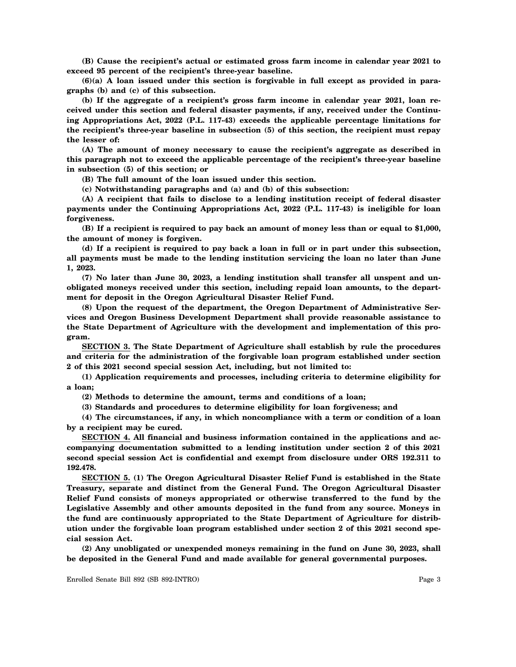**(B) Cause the recipient's actual or estimated gross farm income in calendar year 2021 to exceed 95 percent of the recipient's three-year baseline.**

**(6)(a) A loan issued under this section is forgivable in full except as provided in paragraphs (b) and (c) of this subsection.**

**(b) If the aggregate of a recipient's gross farm income in calendar year 2021, loan received under this section and federal disaster payments, if any, received under the Continuing Appropriations Act, 2022 (P.L. 117-43) exceeds the applicable percentage limitations for the recipient's three-year baseline in subsection (5) of this section, the recipient must repay the lesser of:**

**(A) The amount of money necessary to cause the recipient's aggregate as described in this paragraph not to exceed the applicable percentage of the recipient's three-year baseline in subsection (5) of this section; or**

**(B) The full amount of the loan issued under this section.**

**(c) Notwithstanding paragraphs and (a) and (b) of this subsection:**

**(A) A recipient that fails to disclose to a lending institution receipt of federal disaster payments under the Continuing Appropriations Act, 2022 (P.L. 117-43) is ineligible for loan forgiveness.**

**(B) If a recipient is required to pay back an amount of money less than or equal to \$1,000, the amount of money is forgiven.**

**(d) If a recipient is required to pay back a loan in full or in part under this subsection, all payments must be made to the lending institution servicing the loan no later than June 1, 2023.**

**(7) No later than June 30, 2023, a lending institution shall transfer all unspent and unobligated moneys received under this section, including repaid loan amounts, to the department for deposit in the Oregon Agricultural Disaster Relief Fund.**

**(8) Upon the request of the department, the Oregon Department of Administrative Services and Oregon Business Development Department shall provide reasonable assistance to the State Department of Agriculture with the development and implementation of this program.**

**SECTION 3. The State Department of Agriculture shall establish by rule the procedures and criteria for the administration of the forgivable loan program established under section 2 of this 2021 second special session Act, including, but not limited to:**

**(1) Application requirements and processes, including criteria to determine eligibility for a loan;**

**(2) Methods to determine the amount, terms and conditions of a loan;**

**(3) Standards and procedures to determine eligibility for loan forgiveness; and**

**(4) The circumstances, if any, in which noncompliance with a term or condition of a loan by a recipient may be cured.**

**SECTION 4. All financial and business information contained in the applications and accompanying documentation submitted to a lending institution under section 2 of this 2021 second special session Act is confidential and exempt from disclosure under ORS 192.311 to 192.478.**

**SECTION 5. (1) The Oregon Agricultural Disaster Relief Fund is established in the State Treasury, separate and distinct from the General Fund. The Oregon Agricultural Disaster Relief Fund consists of moneys appropriated or otherwise transferred to the fund by the Legislative Assembly and other amounts deposited in the fund from any source. Moneys in the fund are continuously appropriated to the State Department of Agriculture for distribution under the forgivable loan program established under section 2 of this 2021 second special session Act.**

**(2) Any unobligated or unexpended moneys remaining in the fund on June 30, 2023, shall be deposited in the General Fund and made available for general governmental purposes.**